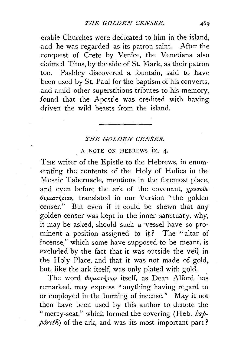erable Churches were dedicated to him in the island, and he was regarded as its patron saint. After the conquest of Crete by Venice, the Venetians also claimed Titus, by the side of St. Mark, as their patron too. Pashley discovered a fountain, said to have been used by St. Paul for the baptism of his converts, and amid other superstitious tributes to his memory, found that the Apostle was credited with having driven the wild beasts from the island.

## *THE GOLDEN CENSER.*

*A* NOTE ON HEBREWS IX. 4.

THE writer of the Epistle to the Hebrews, in enumerating the contents of the Holy of Holies in the Mosaic Tabernacle, mentions in the foremost piace, and even before the ark of the covenant,  $\chi \rho \nu \sigma \omega \hat{\nu} \nu$  $\theta$ vµuaTήριον, translated in our Version " the golden censer." But even if it could be shewn that any golden censer was kept in the inner sanctuary, why, it may be asked, should such a vessel. have so prominent a position assigned to it? The "altar of incense," which some have supposed to be meant, is excluded by the fact that it was outside the veil, in the Holy Place, and that it was not made of gold, but, like the ark itself, was only plated with gold.

The word *θυμιατήριον* itself, as Dean Alford has remarked, may express "anything having regard to or employed in the burning of incense." May it not then have been used by this author to denote the "mercy-seat," which formed the covering (Heh. *kappôreth*) of the ark, and was its most important part?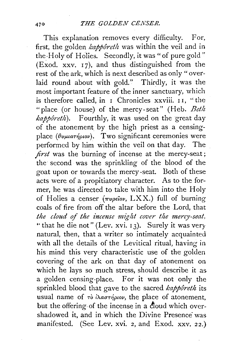This explanation removes every difficulty. For, first, the golden *kappôreth* was within the veil and in the Holy of Holies. Secondly, it was " of pure gold" (Exod. xxv.  $17$ ), and thus distinguished from the rest of the ark, which is next described as only "overlaid round about with gold." Thirdly, it was the most important feature of the inner sanctuary, which is therefore called, in  $\bar{1}$  Chronicles xxviii.  $\bar{1}$ , "the "place (or house) of the mercy-seat" (Heb. *Betit kapporetlt).* Fourthly, it was used on the great day of the atonement by the high priest as a censingplace ( $\theta\nu\mu\mu\pi\eta\rho\iota\sigma\nu$ ). Two significant ceremonies were performed by him within the veil on that day. The *first* was the burning of incense at the mercy-seat; the second was the sprinkiing of the blood of the goat upon or towards the mercy-seat. Both of these acts were of a propitiatory character. As to the former, he was directed to take with him into the Holy of Holies a censer *(πυρεΐον, LXX.)* full of burning coals of fire from off the altar before the Lord, that *the cloud o\_f the incense might cover tlte mercy-seat,*  " that he die not" (Lev. xvi.  $13$ ). Surely it was very natural, then, that a writer so intimately acquainted with all the details of the Levitical ritual, having in his mind this very characteristic use of the golden covering of the ark on that day of atonement on which he lays so much stress, should describe it as a golden censing-place. For it was not only the sprinkled blood that gave to the sacred *kapporeth* its usual name of *το iλαστήριον*, the place of atonement, but the offering of the incense in a cloud which overshadowed it, and in which the Divine Presence was manifested. (See Lev. xvi. 2, and Exod. xxv. 22.)